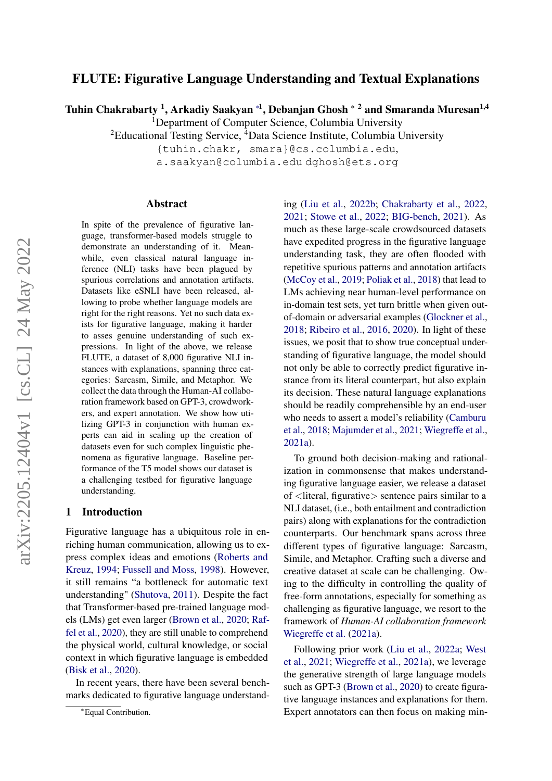# FLUTE: Figurative Language Understanding and Textual Explanations

Tuhin Chakrabarty <sup>1</sup>, Arkadiy Saakyan \*<sup>1</sup>, Debanjan Ghosh \* <sup>2</sup> and Smaranda Muresan<sup>1,4</sup>

<sup>1</sup>Department of Computer Science, Columbia University

<sup>2</sup>Educational Testing Service, <sup>4</sup>Data Science Institute, Columbia University

{tuhin.chakr, smara}@cs.columbia.edu, a.saakyan@columbia.edu dghosh@ets.org

#### Abstract

In spite of the prevalence of figurative language, transformer-based models struggle to demonstrate an understanding of it. Meanwhile, even classical natural language inference (NLI) tasks have been plagued by spurious correlations and annotation artifacts. Datasets like eSNLI have been released, allowing to probe whether language models are right for the right reasons. Yet no such data exists for figurative language, making it harder to asses genuine understanding of such expressions. In light of the above, we release FLUTE, a dataset of 8,000 figurative NLI instances with explanations, spanning three categories: Sarcasm, Simile, and Metaphor. We collect the data through the Human-AI collaboration framework based on GPT-3, crowdworkers, and expert annotation. We show how utilizing GPT-3 in conjunction with human experts can aid in scaling up the creation of datasets even for such complex linguistic phenomena as figurative language. Baseline performance of the T5 model shows our dataset is a challenging testbed for figurative language understanding.

#### 1 Introduction

Figurative language has a ubiquitous role in enriching human communication, allowing us to express complex ideas and emotions [\(Roberts and](#page-8-0) [Kreuz,](#page-8-0) [1994;](#page-8-0) [Fussell and Moss,](#page-7-0) [1998\)](#page-7-0). However, it still remains "a bottleneck for automatic text understanding" [\(Shutova,](#page-8-1) [2011\)](#page-8-1). Despite the fact that Transformer-based pre-trained language models (LMs) get even larger [\(Brown et al.,](#page-7-1) [2020;](#page-7-1) [Raf](#page-7-2)[fel et al.,](#page-7-2) [2020\)](#page-7-2), they are still unable to comprehend the physical world, cultural knowledge, or social context in which figurative language is embedded [\(Bisk et al.,](#page-6-0) [2020\)](#page-6-0).

In recent years, there have been several benchmarks dedicated to figurative language understanding [\(Liu et al.,](#page-7-3) [2022b;](#page-7-3) [Chakrabarty et al.,](#page-7-4) [2022,](#page-7-4) [2021;](#page-7-5) [Stowe et al.,](#page-8-2) [2022;](#page-8-2) [BIG-bench,](#page-6-1) [2021\)](#page-6-1). As much as these large-scale crowdsourced datasets have expedited progress in the figurative language understanding task, they are often flooded with repetitive spurious patterns and annotation artifacts [\(McCoy et al.,](#page-7-6) [2019;](#page-7-6) [Poliak et al.,](#page-7-7) [2018\)](#page-7-7) that lead to LMs achieving near human-level performance on in-domain test sets, yet turn brittle when given outof-domain or adversarial examples [\(Glockner et al.,](#page-7-8) [2018;](#page-7-8) [Ribeiro et al.,](#page-7-9) [2016,](#page-7-9) [2020\)](#page-7-10). In light of these issues, we posit that to show true conceptual understanding of figurative language, the model should not only be able to correctly predict figurative instance from its literal counterpart, but also explain its decision. These natural language explanations should be readily comprehensible by an end-user who needs to assert a model's reliability [\(Camburu](#page-7-11) [et al.,](#page-7-11) [2018;](#page-7-11) [Majumder et al.,](#page-7-12) [2021;](#page-7-12) [Wiegreffe et al.,](#page-8-3) [2021a\)](#page-8-3).

To ground both decision-making and rationalization in commonsense that makes understanding figurative language easier, we release a dataset of <literal, figurative> sentence pairs similar to a NLI dataset, (i.e., both entailment and contradiction pairs) along with explanations for the contradiction counterparts. Our benchmark spans across three different types of figurative language: Sarcasm, Simile, and Metaphor. Crafting such a diverse and creative dataset at scale can be challenging. Owing to the difficulty in controlling the quality of free-form annotations, especially for something as challenging as figurative language, we resort to the framework of *Human-AI collaboration framework* [Wiegreffe et al.](#page-8-3) [\(2021a\)](#page-8-3).

Following prior work [\(Liu et al.,](#page-7-13) [2022a;](#page-7-13) [West](#page-8-4) [et al.,](#page-8-4) [2021;](#page-8-4) [Wiegreffe et al.,](#page-8-3) [2021a\)](#page-8-3), we leverage the generative strength of large language models such as GPT-3 [\(Brown et al.,](#page-7-1) [2020\)](#page-7-1) to create figurative language instances and explanations for them. Expert annotators can then focus on making min-

<sup>∗</sup>Equal Contribution.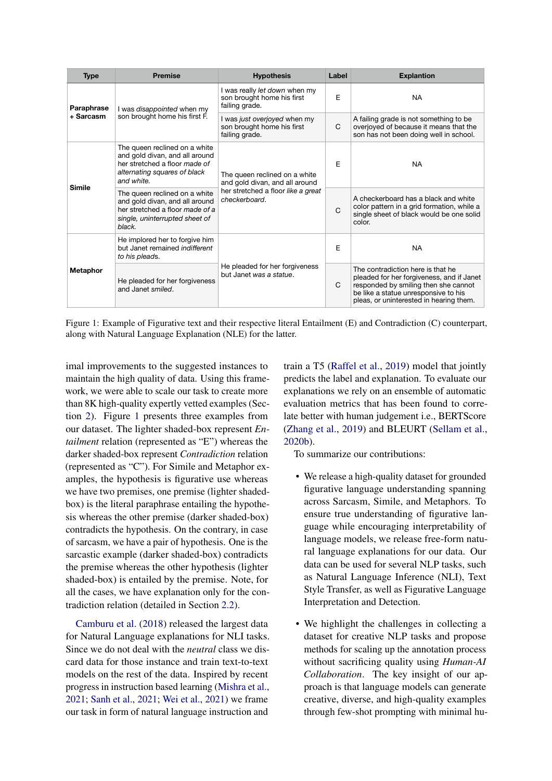<span id="page-1-0"></span>

| <b>Type</b>             | <b>Premise</b>                                                                                                                                 | <b>Hypothesis</b>                                                             | Label        | <b>Explantion</b>                                                                                                                                                                                         |
|-------------------------|------------------------------------------------------------------------------------------------------------------------------------------------|-------------------------------------------------------------------------------|--------------|-----------------------------------------------------------------------------------------------------------------------------------------------------------------------------------------------------------|
| Paraphrase<br>+ Sarcasm | I was <i>disappointed</i> when my<br>son brought home his first F.                                                                             | I was really let down when my<br>son brought home his first<br>failing grade. | E            | <b>NA</b>                                                                                                                                                                                                 |
|                         |                                                                                                                                                | I was just overjoyed when my<br>son brought home his first<br>failing grade.  | C            | A failing grade is not something to be<br>overjoyed of because it means that the<br>son has not been doing well in school.                                                                                |
| <b>Simile</b>           | The queen reclined on a white<br>and gold divan, and all around<br>her stretched a floor made of<br>alternating squares of black<br>and white. | The queen reclined on a white<br>and gold divan, and all around               | E            | <b>NA</b>                                                                                                                                                                                                 |
|                         | The queen reclined on a white<br>and gold divan, and all around<br>her stretched a floor made of a<br>single, uninterrupted sheet of<br>black. | her stretched a floor like a great<br>checkerboard.                           | $\mathsf{C}$ | A checkerboard has a black and white<br>color pattern in a grid formation, while a<br>single sheet of black would be one solid<br>color.                                                                  |
| <b>Metaphor</b>         | He implored her to forgive him<br>but Janet remained <i>indifferent</i><br>to his pleads.                                                      |                                                                               | E            | <b>NA</b>                                                                                                                                                                                                 |
|                         | He pleaded for her forgiveness<br>and Janet smiled.                                                                                            | He pleaded for her forgiveness<br>but Janet was a statue.                     | C            | The contradiction here is that he<br>pleaded for her forgiveness, and if Janet<br>responded by smiling then she cannot<br>be like a statue unresponsive to his<br>pleas, or uninterested in hearing them. |

Figure 1: Example of Figurative text and their respective literal Entailment (E) and Contradiction (C) counterpart, along with Natural Language Explanation (NLE) for the latter.

imal improvements to the suggested instances to maintain the high quality of data. Using this framework, we were able to scale our task to create more than 8K high-quality expertly vetted examples (Section [2\)](#page-2-0). Figure [1](#page-1-0) presents three examples from our dataset. The lighter shaded-box represent *Entailment* relation (represented as "E") whereas the darker shaded-box represent *Contradiction* relation (represented as "C"). For Simile and Metaphor examples, the hypothesis is figurative use whereas we have two premises, one premise (lighter shadedbox) is the literal paraphrase entailing the hypothesis whereas the other premise (darker shaded-box) contradicts the hypothesis. On the contrary, in case of sarcasm, we have a pair of hypothesis. One is the sarcastic example (darker shaded-box) contradicts the premise whereas the other hypothesis (lighter shaded-box) is entailed by the premise. Note, for all the cases, we have explanation only for the contradiction relation (detailed in Section [2.2\)](#page-5-0).

[Camburu et al.](#page-7-11) [\(2018\)](#page-7-11) released the largest data for Natural Language explanations for NLI tasks. Since we do not deal with the *neutral* class we discard data for those instance and train text-to-text models on the rest of the data. Inspired by recent progress in instruction based learning [\(Mishra et al.,](#page-7-14) [2021;](#page-7-14) [Sanh et al.,](#page-8-5) [2021;](#page-8-5) [Wei et al.,](#page-8-6) [2021\)](#page-8-6) we frame our task in form of natural language instruction and

train a T5 [\(Raffel et al.,](#page-7-15) [2019\)](#page-7-15) model that jointly predicts the label and explanation. To evaluate our explanations we rely on an ensemble of automatic evaluation metrics that has been found to correlate better with human judgement i.e., BERTScore [\(Zhang et al.,](#page-8-7) [2019\)](#page-8-7) and BLEURT [\(Sellam et al.,](#page-8-8) [2020b\)](#page-8-8).

To summarize our contributions:

- We release a high-quality dataset for grounded figurative language understanding spanning across Sarcasm, Simile, and Metaphors. To ensure true understanding of figurative language while encouraging interpretability of language models, we release free-form natural language explanations for our data. Our data can be used for several NLP tasks, such as Natural Language Inference (NLI), Text Style Transfer, as well as Figurative Language Interpretation and Detection.
- We highlight the challenges in collecting a dataset for creative NLP tasks and propose methods for scaling up the annotation process without sacrificing quality using *Human-AI Collaboration*. The key insight of our approach is that language models can generate creative, diverse, and high-quality examples through few-shot prompting with minimal hu-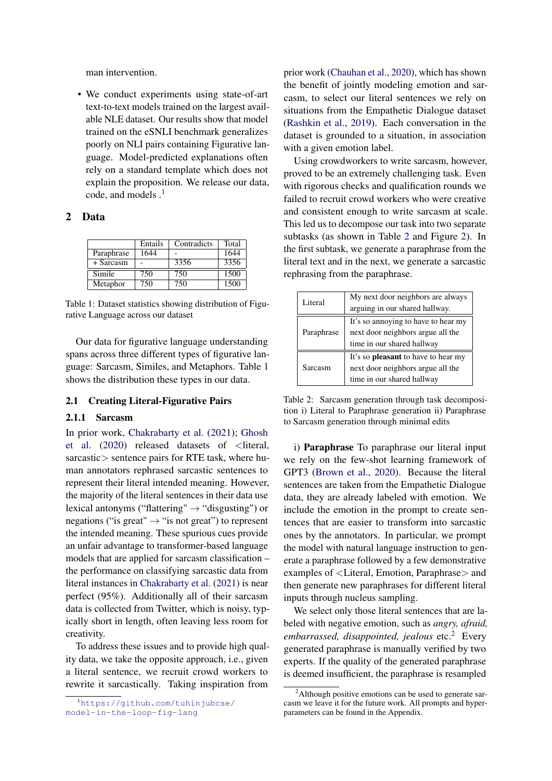man intervention.

• We conduct experiments using state-of-art text-to-text models trained on the largest available NLE dataset. Our results show that model trained on the eSNLI benchmark generalizes poorly on NLI pairs containing Figurative language. Model-predicted explanations often rely on a standard template which does not explain the proposition. We release our data, code, and models  $\cdot$ <sup>[1](#page-2-1)</sup>

#### <span id="page-2-2"></span><span id="page-2-0"></span>2 Data

|            | Entails | Contradicts | Total |
|------------|---------|-------------|-------|
| Paraphrase | 1644    |             | 1644  |
| + Sarcasm  |         | 3356        | 3356  |
| Simile     | 750     | 750         | 1500  |
| Metaphor   | 750     | 750         | 1500  |

Table 1: Dataset statistics showing distribution of Figurative Language across our dataset

Our data for figurative language understanding spans across three different types of figurative language: Sarcasm, Similes, and Metaphors. Table [1](#page-2-2) shows the distribution these types in our data.

#### 2.1 Creating Literal-Figurative Pairs

#### <span id="page-2-5"></span>2.1.1 Sarcasm

In prior work, [Chakrabarty et al.](#page-7-5) [\(2021\)](#page-7-5); [Ghosh](#page-7-16) [et al.](#page-7-16) [\(2020\)](#page-7-16) released datasets of <literal, sarcastic > sentence pairs for RTE task, where human annotators rephrased sarcastic sentences to represent their literal intended meaning. However, the majority of the literal sentences in their data use lexical antonyms ("flattering"  $\rightarrow$  "disgusting") or negations ("is great"  $\rightarrow$  "is not great") to represent the intended meaning. These spurious cues provide an unfair advantage to transformer-based language models that are applied for sarcasm classification – the performance on classifying sarcastic data from literal instances in [Chakrabarty et al.](#page-7-5) [\(2021\)](#page-7-5) is near perfect (95%). Additionally all of their sarcasm data is collected from Twitter, which is noisy, typically short in length, often leaving less room for creativity.

To address these issues and to provide high quality data, we take the opposite approach, i.e., given a literal sentence, we recruit crowd workers to rewrite it sarcastically. Taking inspiration from

prior work [\(Chauhan et al.,](#page-7-17) [2020\)](#page-7-17), which has shown the benefit of jointly modeling emotion and sarcasm, to select our literal sentences we rely on situations from the Empathetic Dialogue dataset [\(Rashkin et al.,](#page-7-18) [2019\)](#page-7-18). Each conversation in the dataset is grounded to a situation, in association with a given emotion label.

Using crowdworkers to write sarcasm, however, proved to be an extremely challenging task. Even with rigorous checks and qualification rounds we failed to recruit crowd workers who were creative and consistent enough to write sarcasm at scale. This led us to decompose our task into two separate subtasks (as shown in Table [2](#page-2-3) and Figure [2\)](#page-3-0). In the first subtask, we generate a paraphrase from the literal text and in the next, we generate a sarcastic rephrasing from the paraphrase.

<span id="page-2-3"></span>

| Literal    | My next door neighbors are always<br>arguing in our shared hallway.                                           |
|------------|---------------------------------------------------------------------------------------------------------------|
| Paraphrase | It's so annoying to have to hear my<br>next door neighbors argue all the<br>time in our shared hallway        |
| Sarcasm    | It's so <b>pleasant</b> to have to hear my<br>next door neighbors argue all the<br>time in our shared hallway |

Table 2: Sarcasm generation through task decomposition i) Literal to Paraphrase generation ii) Paraphrase to Sarcasm generation through minimal edits

i) Paraphrase To paraphrase our literal input we rely on the few-shot learning framework of GPT3 [\(Brown et al.,](#page-7-1) [2020\)](#page-7-1). Because the literal sentences are taken from the Empathetic Dialogue data, they are already labeled with emotion. We include the emotion in the prompt to create sentences that are easier to transform into sarcastic ones by the annotators. In particular, we prompt the model with natural language instruction to generate a paraphrase followed by a few demonstrative examples of <Literal, Emotion, Paraphrase> and then generate new paraphrases for different literal inputs through nucleus sampling.

We select only those literal sentences that are labeled with negative emotion, such as *angry, afraid, embarrassed, disappointed, jealous* etc.[2](#page-2-4) Every generated paraphrase is manually verified by two experts. If the quality of the generated paraphrase is deemed insufficient, the paraphrase is resampled

<span id="page-2-1"></span><sup>1</sup>[https://github.com/tuhinjubcse/](https://github.com/tuhinjubcse/model-in-the-loop-fig-lang) [model-in-the-loop-fig-lang](https://github.com/tuhinjubcse/model-in-the-loop-fig-lang)

<span id="page-2-4"></span> $2$ Although positive emotions can be used to generate sarcasm we leave it for the future work. All prompts and hyperparameters can be found in the Appendix.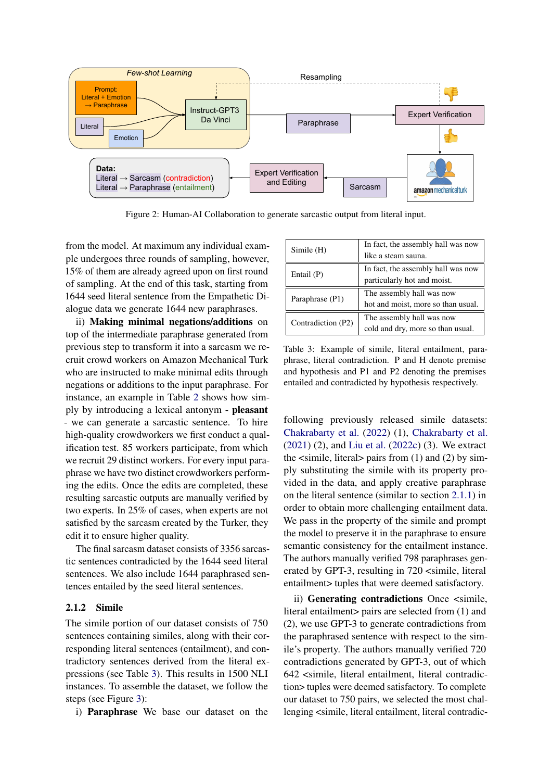<span id="page-3-0"></span>

Figure 2: Human-AI Collaboration to generate sarcastic output from literal input.

from the model. At maximum any individual example undergoes three rounds of sampling, however, 15% of them are already agreed upon on first round of sampling. At the end of this task, starting from 1644 seed literal sentence from the Empathetic Dialogue data we generate 1644 new paraphrases.

ii) Making minimal negations/additions on top of the intermediate paraphrase generated from previous step to transform it into a sarcasm we recruit crowd workers on Amazon Mechanical Turk who are instructed to make minimal edits through negations or additions to the input paraphrase. For instance, an example in Table [2](#page-2-3) shows how simply by introducing a lexical antonym - pleasant - we can generate a sarcastic sentence. To hire high-quality crowdworkers we first conduct a qualification test. 85 workers participate, from which we recruit 29 distinct workers. For every input paraphrase we have two distinct crowdworkers performing the edits. Once the edits are completed, these resulting sarcastic outputs are manually verified by two experts. In 25% of cases, when experts are not satisfied by the sarcasm created by the Turker, they edit it to ensure higher quality.

The final sarcasm dataset consists of 3356 sarcastic sentences contradicted by the 1644 seed literal sentences. We also include 1644 paraphrased sentences entailed by the seed literal sentences.

#### 2.1.2 Simile

The simile portion of our dataset consists of 750 sentences containing similes, along with their corresponding literal sentences (entailment), and contradictory sentences derived from the literal expressions (see Table [3\)](#page-3-1). This results in 1500 NLI instances. To assemble the dataset, we follow the steps (see Figure [3\)](#page-4-0):

i) Paraphrase We base our dataset on the

<span id="page-3-1"></span>

| Simile (H)         | In fact, the assembly hall was now<br>like a steam sauna.         |
|--------------------|-------------------------------------------------------------------|
| Entail $(P)$       | In fact, the assembly hall was now<br>particularly hot and moist. |
| Paraphrase (P1)    | The assembly hall was now<br>hot and moist, more so than usual.   |
| Contradiction (P2) | The assembly hall was now<br>cold and dry, more so than usual.    |

Table 3: Example of simile, literal entailment, paraphrase, literal contradiction. P and H denote premise and hypothesis and P1 and P2 denoting the premises entailed and contradicted by hypothesis respectively.

following previously released simile datasets: [Chakrabarty et al.](#page-7-4) [\(2022\)](#page-7-4) (1), [Chakrabarty et al.](#page-7-5) [\(2021\)](#page-7-5) (2), and [Liu et al.](#page-7-19) [\(2022c\)](#page-7-19) (3). We extract the  $\langle$ simile, literal $>$  pairs from (1) and (2) by simply substituting the simile with its property provided in the data, and apply creative paraphrase on the literal sentence (similar to section [2.1.1\)](#page-2-5) in order to obtain more challenging entailment data. We pass in the property of the simile and prompt the model to preserve it in the paraphrase to ensure semantic consistency for the entailment instance. The authors manually verified 798 paraphrases generated by GPT-3, resulting in 720 <simile, literal entailment> tuples that were deemed satisfactory.

ii) Generating contradictions Once <simile, literal entailment> pairs are selected from (1) and (2), we use GPT-3 to generate contradictions from the paraphrased sentence with respect to the simile's property. The authors manually verified 720 contradictions generated by GPT-3, out of which 642 <simile, literal entailment, literal contradiction> tuples were deemed satisfactory. To complete our dataset to 750 pairs, we selected the most challenging <simile, literal entailment, literal contradic-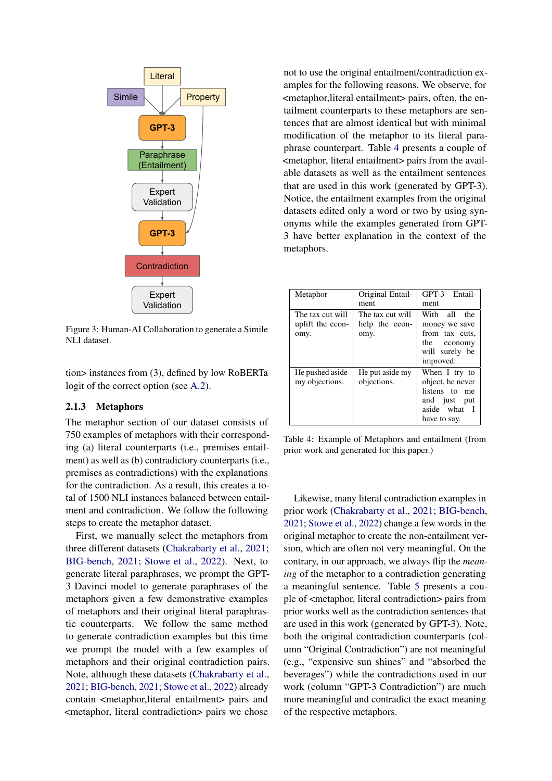<span id="page-4-0"></span>

Figure 3: Human-AI Collaboration to generate a Simile NLI dataset.

tion> instances from (3), defined by low RoBERTa logit of the correct option (see [A.2\)](#page-9-0).

## 2.1.3 Metaphors

The metaphor section of our dataset consists of 750 examples of metaphors with their corresponding (a) literal counterparts (i.e., premises entailment) as well as (b) contradictory counterparts (i.e., premises as contradictions) with the explanations for the contradiction. As a result, this creates a total of 1500 NLI instances balanced between entailment and contradiction. We follow the following steps to create the metaphor dataset.

First, we manually select the metaphors from three different datasets [\(Chakrabarty et al.,](#page-7-5) [2021;](#page-7-5) [BIG-bench,](#page-6-1) [2021;](#page-6-1) [Stowe et al.,](#page-8-2) [2022\)](#page-8-2). Next, to generate literal paraphrases, we prompt the GPT-3 Davinci model to generate paraphrases of the metaphors given a few demonstrative examples of metaphors and their original literal paraphrastic counterparts. We follow the same method to generate contradiction examples but this time we prompt the model with a few examples of metaphors and their original contradiction pairs. Note, although these datasets [\(Chakrabarty et al.,](#page-7-5) [2021;](#page-7-5) [BIG-bench,](#page-6-1) [2021;](#page-6-1) [Stowe et al.,](#page-8-2) [2022\)](#page-8-2) already contain <metaphor,literal entailment> pairs and <metaphor, literal contradiction> pairs we chose

not to use the original entailment/contradiction examples for the following reasons. We observe, for <metaphor,literal entailment> pairs, often, the entailment counterparts to these metaphors are sentences that are almost identical but with minimal modification of the metaphor to its literal paraphrase counterpart. Table [4](#page-4-1) presents a couple of <metaphor, literal entailment> pairs from the available datasets as well as the entailment sentences that are used in this work (generated by GPT-3). Notice, the entailment examples from the original datasets edited only a word or two by using synonyms while the examples generated from GPT-3 have better explanation in the context of the metaphors.

<span id="page-4-1"></span>

| Metaphor                                     | Original Entail-<br>ment                   | GPT-3 Entail-<br>ment                                                                                 |
|----------------------------------------------|--------------------------------------------|-------------------------------------------------------------------------------------------------------|
| The tax cut will<br>uplift the econ-<br>omy. | The tax cut will<br>help the econ-<br>omy. | With all the<br>money we save<br>from tax cuts,<br>the economy<br>will surely be<br>improved.         |
| He pushed aside<br>my objections.            | He put aside my<br>objections.             | When I try to<br>object, he never<br>listens to<br>me<br>and just put<br>aside what I<br>have to say. |

Table 4: Example of Metaphors and entailment (from prior work and generated for this paper.)

Likewise, many literal contradiction examples in prior work [\(Chakrabarty et al.,](#page-7-5) [2021;](#page-7-5) [BIG-bench,](#page-6-1) [2021;](#page-6-1) [Stowe et al.,](#page-8-2) [2022\)](#page-8-2) change a few words in the original metaphor to create the non-entailment version, which are often not very meaningful. On the contrary, in our approach, we always flip the *meaning* of the metaphor to a contradiction generating a meaningful sentence. Table [5](#page-5-1) presents a couple of <metaphor, literal contradiction> pairs from prior works well as the contradiction sentences that are used in this work (generated by GPT-3). Note, both the original contradiction counterparts (column "Original Contradiction") are not meaningful (e.g., "expensive sun shines" and "absorbed the beverages") while the contradictions used in our work (column "GPT-3 Contradiction") are much more meaningful and contradict the exact meaning of the respective metaphors.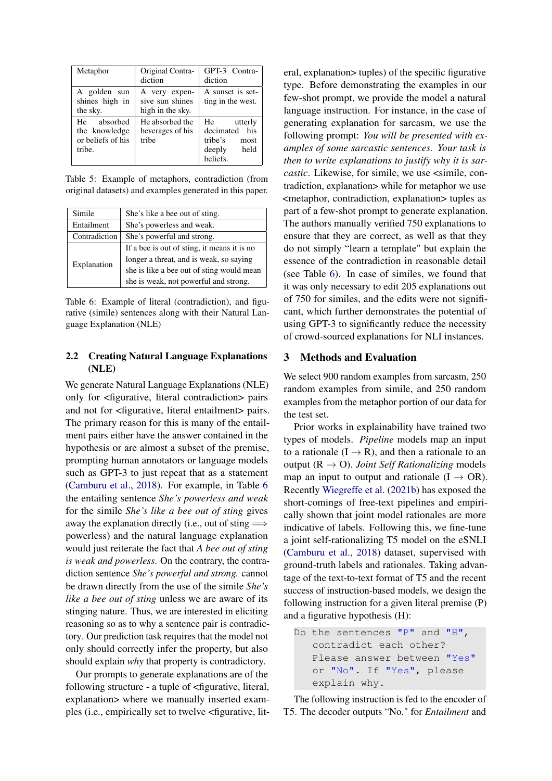<span id="page-5-1"></span>

| Metaphor                                                    | Original Contra-<br>diction                          | GPT-3 Contra-<br>diction                                                        |
|-------------------------------------------------------------|------------------------------------------------------|---------------------------------------------------------------------------------|
| A golden sun<br>shines high in<br>the sky.                  | A very expen-<br>sive sun shines<br>high in the sky. | A sunset is set-<br>ting in the west.                                           |
| He absorbed<br>the knowledge<br>or beliefs of his<br>tribe. | He absorbed the<br>beverages of his<br>tribe         | He<br>utterly<br>decimated his<br>tribe's<br>most<br>held<br>deeply<br>beliefs. |

Table 5: Example of metaphors, contradiction (from original datasets) and examples generated in this paper.

<span id="page-5-2"></span>

| Simile                                      | She's like a bee out of sting.              |
|---------------------------------------------|---------------------------------------------|
| Entailment                                  | She's powerless and weak.                   |
| Contradiction<br>She's powerful and strong. |                                             |
|                                             | If a bee is out of sting, it means it is no |
| Explanation                                 | longer a threat, and is weak, so saying     |
|                                             | she is like a bee out of sting would mean   |
|                                             | she is weak, not powerful and strong.       |

Table 6: Example of literal (contradiction), and figurative (simile) sentences along with their Natural Language Explanation (NLE)

### <span id="page-5-0"></span>2.2 Creating Natural Language Explanations (NLE)

We generate Natural Language Explanations (NLE) only for <figurative, literal contradiction> pairs and not for <figurative, literal entailment> pairs. The primary reason for this is many of the entailment pairs either have the answer contained in the hypothesis or are almost a subset of the premise, prompting human annotators or language models such as GPT-3 to just repeat that as a statement [\(Camburu et al.,](#page-7-11) [2018\)](#page-7-11). For example, in Table [6](#page-5-2) the entailing sentence *She's powerless and weak* for the simile *She's like a bee out of sting* gives away the explanation directly (i.e., out of sting  $\Longrightarrow$ powerless) and the natural language explanation would just reiterate the fact that *A bee out of sting is weak and powerless*. On the contrary, the contradiction sentence *She's powerful and strong.* cannot be drawn directly from the use of the simile *She's like a bee out of sting* unless we are aware of its stinging nature. Thus, we are interested in eliciting reasoning so as to why a sentence pair is contradictory. Our prediction task requires that the model not only should correctly infer the property, but also should explain *why* that property is contradictory.

Our prompts to generate explanations are of the following structure - a tuple of <figurative, literal, explanation> where we manually inserted examples (i.e., empirically set to twelve <figurative, literal, explanation> tuples) of the specific figurative type. Before demonstrating the examples in our few-shot prompt, we provide the model a natural language instruction. For instance, in the case of generating explanation for sarcasm, we use the following prompt: *You will be presented with examples of some sarcastic sentences. Your task is then to write explanations to justify why it is sarcastic*. Likewise, for simile, we use  $\le$ simile, contradiction, explanation> while for metaphor we use <metaphor, contradiction, explanation> tuples as part of a few-shot prompt to generate explanation. The authors manually verified 750 explanations to ensure that they are correct, as well as that they do not simply "learn a template" but explain the essence of the contradiction in reasonable detail (see Table [6\)](#page-5-2). In case of similes, we found that it was only necessary to edit 205 explanations out of 750 for similes, and the edits were not significant, which further demonstrates the potential of using GPT-3 to significantly reduce the necessity of crowd-sourced explanations for NLI instances.

#### 3 Methods and Evaluation

We select 900 random examples from sarcasm, 250 random examples from simile, and 250 random examples from the metaphor portion of our data for the test set.

Prior works in explainability have trained two types of models. *Pipeline* models map an input to a rationale  $(I \rightarrow R)$ , and then a rationale to an output  $(R \rightarrow O)$ . *Joint Self Rationalizing* models map an input to output and rationale  $(I \rightarrow OR)$ . Recently [Wiegreffe et al.](#page-8-9) [\(2021b\)](#page-8-9) has exposed the short-comings of free-text pipelines and empirically shown that joint model rationales are more indicative of labels. Following this, we fine-tune a joint self-rationalizing T5 model on the eSNLI [\(Camburu et al.,](#page-7-11) [2018\)](#page-7-11) dataset, supervised with ground-truth labels and rationales. Taking advantage of the text-to-text format of T5 and the recent success of instruction-based models, we design the following instruction for a given literal premise (P) and a figurative hypothesis (H):

Do the sentences "P" and "H", contradict each other? Please answer between "Yes" or "No". If "Yes", please explain why.

The following instruction is fed to the encoder of T5. The decoder outputs "No." for *Entailment* and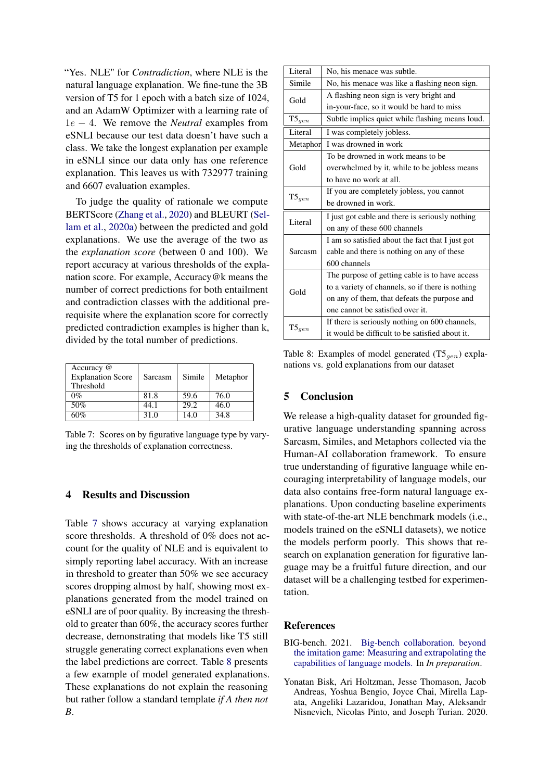"Yes. NLE" for *Contradiction*, where NLE is the natural language explanation. We fine-tune the 3B version of T5 for 1 epoch with a batch size of 1024, and an AdamW Optimizer with a learning rate of 1e − 4. We remove the *Neutral* examples from eSNLI because our test data doesn't have such a class. We take the longest explanation per example in eSNLI since our data only has one reference explanation. This leaves us with 732977 training and 6607 evaluation examples.

To judge the quality of rationale we compute BERTScore [\(Zhang et al.,](#page-8-10) [2020\)](#page-8-10) and BLEURT [\(Sel](#page-8-11)[lam et al.,](#page-8-11) [2020a\)](#page-8-11) between the predicted and gold explanations. We use the average of the two as the *explanation score* (between 0 and 100). We report accuracy at various thresholds of the explanation score. For example, Accuracy@k means the number of correct predictions for both entailment and contradiction classes with the additional prerequisite where the explanation score for correctly predicted contradiction examples is higher than k, divided by the total number of predictions.

<span id="page-6-2"></span>

| Accuracy @<br><b>Explanation Score</b><br>Threshold | Sarcasm | Simile | Metaphor |
|-----------------------------------------------------|---------|--------|----------|
| $0\%$                                               | 81.8    | 59.6   | 76.0     |
| 50%                                                 | 44.1    | 29.2   | 46.0     |
| 60%                                                 | 31.0    | 14.0   | 34.8     |

Table 7: Scores on by figurative language type by varying the thresholds of explanation correctness.

## 4 Results and Discussion

Table [7](#page-6-2) shows accuracy at varying explanation score thresholds. A threshold of 0% does not account for the quality of NLE and is equivalent to simply reporting label accuracy. With an increase in threshold to greater than 50% we see accuracy scores dropping almost by half, showing most explanations generated from the model trained on eSNLI are of poor quality. By increasing the threshold to greater than 60%, the accuracy scores further decrease, demonstrating that models like T5 still struggle generating correct explanations even when the label predictions are correct. Table [8](#page-6-3) presents a few example of model generated explanations. These explanations do not explain the reasoning but rather follow a standard template *if A then not B*.

<span id="page-6-3"></span>

| Literal    | No, his menace was subtle.                       |
|------------|--------------------------------------------------|
| Simile     | No, his menace was like a flashing neon sign.    |
| Gold       | A flashing neon sign is very bright and          |
|            | in-your-face, so it would be hard to miss        |
| $T5_{gen}$ | Subtle implies quiet while flashing means loud.  |
| Literal    | I was completely jobless.                        |
| Metaphor   | I was drowned in work                            |
|            | To be drowned in work means to be.               |
| Gold       | overwhelmed by it, while to be jobless means     |
|            | to have no work at all.                          |
|            | If you are completely jobless, you cannot        |
| $T5_{gen}$ | be drowned in work.                              |
| Literal    | I just got cable and there is seriously nothing  |
|            | on any of these 600 channels                     |
|            | I am so satisfied about the fact that I just got |
| Sarcasm    | cable and there is nothing on any of these       |
|            | 600 channels                                     |
| Gold       | The purpose of getting cable is to have access   |
|            | to a variety of channels, so if there is nothing |
|            | on any of them, that defeats the purpose and     |
|            | one cannot be satisfied over it.                 |
|            | If there is seriously nothing on 600 channels,   |
| $T5_{gen}$ | it would be difficult to be satisfied about it.  |

Table 8: Examples of model generated  $(T5_{gen})$  explanations vs. gold explanations from our dataset

## 5 Conclusion

We release a high-quality dataset for grounded figurative language understanding spanning across Sarcasm, Similes, and Metaphors collected via the Human-AI collaboration framework. To ensure true understanding of figurative language while encouraging interpretability of language models, our data also contains free-form natural language explanations. Upon conducting baseline experiments with state-of-the-art NLE benchmark models (i.e., models trained on the eSNLI datasets), we notice the models perform poorly. This shows that research on explanation generation for figurative language may be a fruitful future direction, and our dataset will be a challenging testbed for experimentation.

## References

- <span id="page-6-1"></span>BIG-bench. 2021. [Big-bench collaboration. beyond](https://github.com/google/BIG-bench/) [the imitation game: Measuring and extrapolating the](https://github.com/google/BIG-bench/) [capabilities of language models.](https://github.com/google/BIG-bench/) In *In preparation*.
- <span id="page-6-0"></span>Yonatan Bisk, Ari Holtzman, Jesse Thomason, Jacob Andreas, Yoshua Bengio, Joyce Chai, Mirella Lapata, Angeliki Lazaridou, Jonathan May, Aleksandr Nisnevich, Nicolas Pinto, and Joseph Turian. 2020.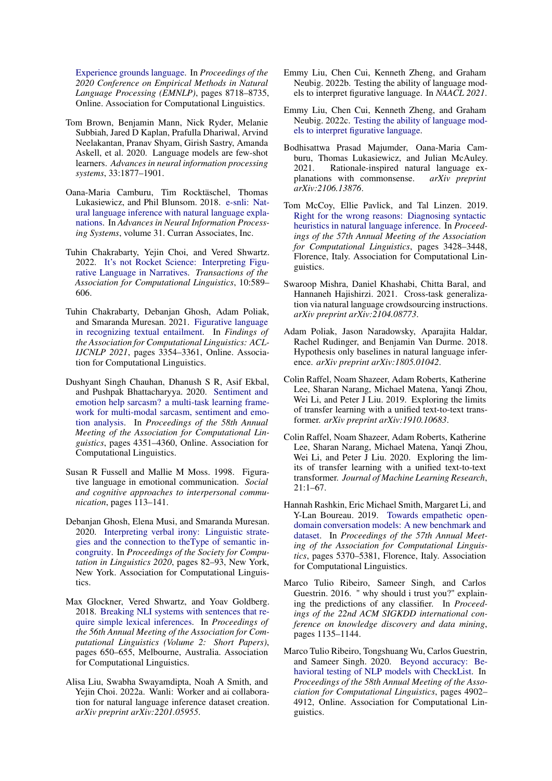[Experience grounds language.](https://doi.org/10.18653/v1/2020.emnlp-main.703) In *Proceedings of the 2020 Conference on Empirical Methods in Natural Language Processing (EMNLP)*, pages 8718–8735, Online. Association for Computational Linguistics.

- <span id="page-7-1"></span>Tom Brown, Benjamin Mann, Nick Ryder, Melanie Subbiah, Jared D Kaplan, Prafulla Dhariwal, Arvind Neelakantan, Pranav Shyam, Girish Sastry, Amanda Askell, et al. 2020. Language models are few-shot learners. *Advances in neural information processing systems*, 33:1877–1901.
- <span id="page-7-11"></span>Oana-Maria Camburu, Tim Rocktäschel, Thomas Lukasiewicz, and Phil Blunsom. 2018. [e-snli: Nat](https://proceedings.neurips.cc/paper/2018/file/4c7a167bb329bd92580a99ce422d6fa6-Paper.pdf)[ural language inference with natural language expla](https://proceedings.neurips.cc/paper/2018/file/4c7a167bb329bd92580a99ce422d6fa6-Paper.pdf)[nations.](https://proceedings.neurips.cc/paper/2018/file/4c7a167bb329bd92580a99ce422d6fa6-Paper.pdf) In *Advances in Neural Information Processing Systems*, volume 31. Curran Associates, Inc.
- <span id="page-7-4"></span>Tuhin Chakrabarty, Yejin Choi, and Vered Shwartz. 2022. [It's not Rocket Science: Interpreting Figu](https://doi.org/10.1162/tacl_a_00478)[rative Language in Narratives.](https://doi.org/10.1162/tacl_a_00478) *Transactions of the Association for Computational Linguistics*, 10:589– 606.
- <span id="page-7-5"></span>Tuhin Chakrabarty, Debanjan Ghosh, Adam Poliak, and Smaranda Muresan. 2021. [Figurative language](https://doi.org/10.18653/v1/2021.findings-acl.297) [in recognizing textual entailment.](https://doi.org/10.18653/v1/2021.findings-acl.297) In *Findings of the Association for Computational Linguistics: ACL-IJCNLP 2021*, pages 3354–3361, Online. Association for Computational Linguistics.
- <span id="page-7-17"></span>Dushyant Singh Chauhan, Dhanush S R, Asif Ekbal, and Pushpak Bhattacharyya. 2020. [Sentiment and](https://doi.org/10.18653/v1/2020.acl-main.401) [emotion help sarcasm? a multi-task learning frame](https://doi.org/10.18653/v1/2020.acl-main.401)[work for multi-modal sarcasm, sentiment and emo](https://doi.org/10.18653/v1/2020.acl-main.401)[tion analysis.](https://doi.org/10.18653/v1/2020.acl-main.401) In *Proceedings of the 58th Annual Meeting of the Association for Computational Linguistics*, pages 4351–4360, Online. Association for Computational Linguistics.
- <span id="page-7-0"></span>Susan R Fussell and Mallie M Moss. 1998. Figurative language in emotional communication. *Social and cognitive approaches to interpersonal communication*, pages 113–141.
- <span id="page-7-16"></span>Debanjan Ghosh, Elena Musi, and Smaranda Muresan. 2020. [Interpreting verbal irony: Linguistic strate](https://aclanthology.org/2020.scil-1.10)[gies and the connection to theType of semantic in](https://aclanthology.org/2020.scil-1.10)[congruity.](https://aclanthology.org/2020.scil-1.10) In *Proceedings of the Society for Computation in Linguistics 2020*, pages 82–93, New York, New York. Association for Computational Linguistics.
- <span id="page-7-8"></span>Max Glockner, Vered Shwartz, and Yoav Goldberg. 2018. [Breaking NLI systems with sentences that re](https://doi.org/10.18653/v1/P18-2103)[quire simple lexical inferences.](https://doi.org/10.18653/v1/P18-2103) In *Proceedings of the 56th Annual Meeting of the Association for Computational Linguistics (Volume 2: Short Papers)*, pages 650–655, Melbourne, Australia. Association for Computational Linguistics.
- <span id="page-7-13"></span>Alisa Liu, Swabha Swayamdipta, Noah A Smith, and Yejin Choi. 2022a. Wanli: Worker and ai collaboration for natural language inference dataset creation. *arXiv preprint arXiv:2201.05955*.
- <span id="page-7-3"></span>Emmy Liu, Chen Cui, Kenneth Zheng, and Graham Neubig. 2022b. Testing the ability of language models to interpret figurative language. In *NAACL 2021*.
- <span id="page-7-19"></span>Emmy Liu, Chen Cui, Kenneth Zheng, and Graham Neubig. 2022c. [Testing the ability of language mod](https://doi.org/10.48550/ARXIV.2204.12632)[els to interpret figurative language.](https://doi.org/10.48550/ARXIV.2204.12632)
- <span id="page-7-12"></span>Bodhisattwa Prasad Majumder, Oana-Maria Camburu, Thomas Lukasiewicz, and Julian McAuley. 2021. Rationale-inspired natural language explanations with commonsense. *arXiv preprint arXiv:2106.13876*.
- <span id="page-7-6"></span>Tom McCoy, Ellie Pavlick, and Tal Linzen. 2019. [Right for the wrong reasons: Diagnosing syntactic](https://doi.org/10.18653/v1/P19-1334) [heuristics in natural language inference.](https://doi.org/10.18653/v1/P19-1334) In *Proceedings of the 57th Annual Meeting of the Association for Computational Linguistics*, pages 3428–3448, Florence, Italy. Association for Computational Linguistics.
- <span id="page-7-14"></span>Swaroop Mishra, Daniel Khashabi, Chitta Baral, and Hannaneh Hajishirzi. 2021. Cross-task generalization via natural language crowdsourcing instructions. *arXiv preprint arXiv:2104.08773*.
- <span id="page-7-7"></span>Adam Poliak, Jason Naradowsky, Aparajita Haldar, Rachel Rudinger, and Benjamin Van Durme. 2018. Hypothesis only baselines in natural language inference. *arXiv preprint arXiv:1805.01042*.
- <span id="page-7-15"></span>Colin Raffel, Noam Shazeer, Adam Roberts, Katherine Lee, Sharan Narang, Michael Matena, Yanqi Zhou, Wei Li, and Peter J Liu. 2019. Exploring the limits of transfer learning with a unified text-to-text transformer. *arXiv preprint arXiv:1910.10683*.
- <span id="page-7-2"></span>Colin Raffel, Noam Shazeer, Adam Roberts, Katherine Lee, Sharan Narang, Michael Matena, Yanqi Zhou, Wei Li, and Peter J Liu. 2020. Exploring the limits of transfer learning with a unified text-to-text transformer. *Journal of Machine Learning Research*, 21:1–67.
- <span id="page-7-18"></span>Hannah Rashkin, Eric Michael Smith, Margaret Li, and Y-Lan Boureau. 2019. [Towards empathetic open](https://doi.org/10.18653/v1/P19-1534)[domain conversation models: A new benchmark and](https://doi.org/10.18653/v1/P19-1534) [dataset.](https://doi.org/10.18653/v1/P19-1534) In *Proceedings of the 57th Annual Meeting of the Association for Computational Linguistics*, pages 5370–5381, Florence, Italy. Association for Computational Linguistics.
- <span id="page-7-9"></span>Marco Tulio Ribeiro, Sameer Singh, and Carlos Guestrin. 2016. " why should i trust you?" explaining the predictions of any classifier. In *Proceedings of the 22nd ACM SIGKDD international conference on knowledge discovery and data mining*, pages 1135–1144.
- <span id="page-7-10"></span>Marco Tulio Ribeiro, Tongshuang Wu, Carlos Guestrin, and Sameer Singh. 2020. [Beyond accuracy: Be](https://doi.org/10.18653/v1/2020.acl-main.442)[havioral testing of NLP models with CheckList.](https://doi.org/10.18653/v1/2020.acl-main.442) In *Proceedings of the 58th Annual Meeting of the Association for Computational Linguistics*, pages 4902– 4912, Online. Association for Computational Linguistics.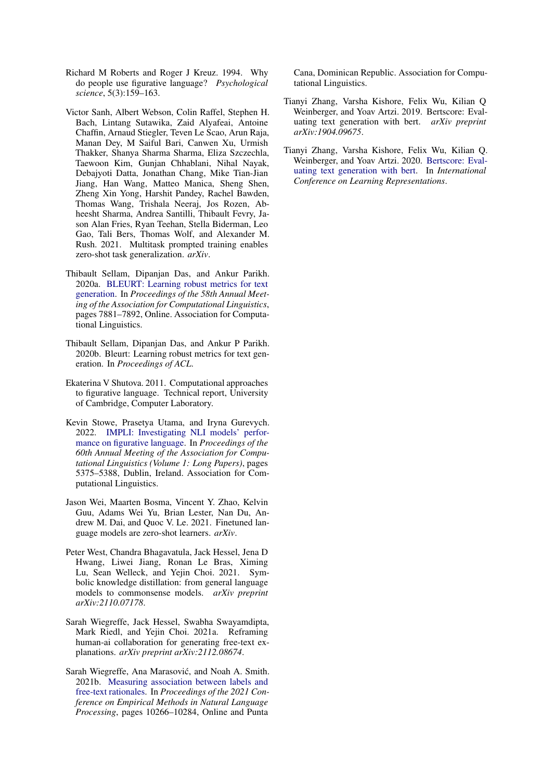- <span id="page-8-0"></span>Richard M Roberts and Roger J Kreuz. 1994. Why do people use figurative language? *Psychological science*, 5(3):159–163.
- <span id="page-8-5"></span>Victor Sanh, Albert Webson, Colin Raffel, Stephen H. Bach, Lintang Sutawika, Zaid Alyafeai, Antoine Chaffin, Arnaud Stiegler, Teven Le Scao, Arun Raja, Manan Dey, M Saiful Bari, Canwen Xu, Urmish Thakker, Shanya Sharma Sharma, Eliza Szczechla, Taewoon Kim, Gunjan Chhablani, Nihal Nayak, Debajyoti Datta, Jonathan Chang, Mike Tian-Jian Jiang, Han Wang, Matteo Manica, Sheng Shen, Zheng Xin Yong, Harshit Pandey, Rachel Bawden, Thomas Wang, Trishala Neeraj, Jos Rozen, Abheesht Sharma, Andrea Santilli, Thibault Fevry, Jason Alan Fries, Ryan Teehan, Stella Biderman, Leo Gao, Tali Bers, Thomas Wolf, and Alexander M. Rush. 2021. Multitask prompted training enables zero-shot task generalization. *arXiv*.
- <span id="page-8-11"></span>Thibault Sellam, Dipanjan Das, and Ankur Parikh. 2020a. [BLEURT: Learning robust metrics for text](https://doi.org/10.18653/v1/2020.acl-main.704) [generation.](https://doi.org/10.18653/v1/2020.acl-main.704) In *Proceedings of the 58th Annual Meeting of the Association for Computational Linguistics*, pages 7881–7892, Online. Association for Computational Linguistics.
- <span id="page-8-8"></span>Thibault Sellam, Dipanjan Das, and Ankur P Parikh. 2020b. Bleurt: Learning robust metrics for text generation. In *Proceedings of ACL*.
- <span id="page-8-1"></span>Ekaterina V Shutova. 2011. Computational approaches to figurative language. Technical report, University of Cambridge, Computer Laboratory.
- <span id="page-8-2"></span>Kevin Stowe, Prasetya Utama, and Iryna Gurevych. 2022. [IMPLI: Investigating NLI models' perfor](https://aclanthology.org/2022.acl-long.369)[mance on figurative language.](https://aclanthology.org/2022.acl-long.369) In *Proceedings of the 60th Annual Meeting of the Association for Computational Linguistics (Volume 1: Long Papers)*, pages 5375–5388, Dublin, Ireland. Association for Computational Linguistics.
- <span id="page-8-6"></span>Jason Wei, Maarten Bosma, Vincent Y. Zhao, Kelvin Guu, Adams Wei Yu, Brian Lester, Nan Du, Andrew M. Dai, and Quoc V. Le. 2021. Finetuned language models are zero-shot learners. *arXiv*.
- <span id="page-8-4"></span>Peter West, Chandra Bhagavatula, Jack Hessel, Jena D Hwang, Liwei Jiang, Ronan Le Bras, Ximing Lu, Sean Welleck, and Yejin Choi. 2021. Symbolic knowledge distillation: from general language models to commonsense models. *arXiv preprint arXiv:2110.07178*.
- <span id="page-8-3"></span>Sarah Wiegreffe, Jack Hessel, Swabha Swayamdipta, Mark Riedl, and Yejin Choi. 2021a. Reframing human-ai collaboration for generating free-text explanations. *arXiv preprint arXiv:2112.08674*.
- <span id="page-8-9"></span>Sarah Wiegreffe, Ana Marasović, and Noah A. Smith. 2021b. [Measuring association between labels and](https://doi.org/10.18653/v1/2021.emnlp-main.804) [free-text rationales.](https://doi.org/10.18653/v1/2021.emnlp-main.804) In *Proceedings of the 2021 Conference on Empirical Methods in Natural Language Processing*, pages 10266–10284, Online and Punta

Cana, Dominican Republic. Association for Computational Linguistics.

- <span id="page-8-7"></span>Tianyi Zhang, Varsha Kishore, Felix Wu, Kilian Q Weinberger, and Yoav Artzi. 2019. Bertscore: Evaluating text generation with bert. *arXiv preprint arXiv:1904.09675*.
- <span id="page-8-10"></span>Tianyi Zhang, Varsha Kishore, Felix Wu, Kilian Q. Weinberger, and Yoav Artzi. 2020. [Bertscore: Eval](https://openreview.net/forum?id=SkeHuCVFDr)[uating text generation with bert.](https://openreview.net/forum?id=SkeHuCVFDr) In *International Conference on Learning Representations*.